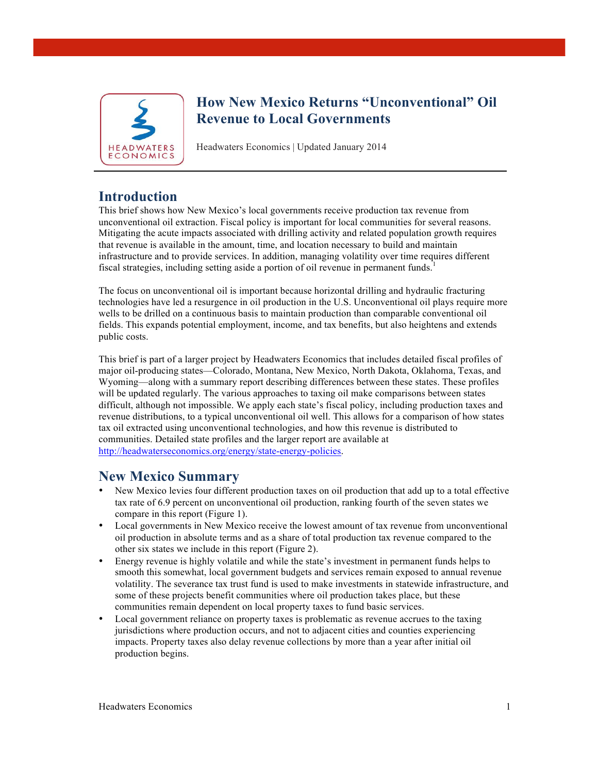

## **How New Mexico Returns "Unconventional" Oil Revenue to Local Governments**

Headwaters Economics | Updated January 2014

## **Introduction**

This brief shows how New Mexico's local governments receive production tax revenue from unconventional oil extraction. Fiscal policy is important for local communities for several reasons. Mitigating the acute impacts associated with drilling activity and related population growth requires that revenue is available in the amount, time, and location necessary to build and maintain infrastructure and to provide services. In addition, managing volatility over time requires different fiscal strategies, including setting aside a portion of oil revenue in permanent funds.<sup>1</sup>

The focus on unconventional oil is important because horizontal drilling and hydraulic fracturing technologies have led a resurgence in oil production in the U.S. Unconventional oil plays require more wells to be drilled on a continuous basis to maintain production than comparable conventional oil fields. This expands potential employment, income, and tax benefits, but also heightens and extends public costs.

This brief is part of a larger project by Headwaters Economics that includes detailed fiscal profiles of major oil-producing states—Colorado, Montana, New Mexico, North Dakota, Oklahoma, Texas, and Wyoming—along with a summary report describing differences between these states. These profiles will be updated regularly. The various approaches to taxing oil make comparisons between states difficult, although not impossible. We apply each state's fiscal policy, including production taxes and revenue distributions, to a typical unconventional oil well. This allows for a comparison of how states tax oil extracted using unconventional technologies, and how this revenue is distributed to communities. Detailed state profiles and the larger report are available at http://headwaterseconomics.org/energy/state-energy-policies.

# **New Mexico Summary**

- New Mexico levies four different production taxes on oil production that add up to a total effective tax rate of 6.9 percent on unconventional oil production, ranking fourth of the seven states we compare in this report (Figure 1).
- Local governments in New Mexico receive the lowest amount of tax revenue from unconventional oil production in absolute terms and as a share of total production tax revenue compared to the other six states we include in this report (Figure 2).
- Energy revenue is highly volatile and while the state's investment in permanent funds helps to smooth this somewhat, local government budgets and services remain exposed to annual revenue volatility. The severance tax trust fund is used to make investments in statewide infrastructure, and some of these projects benefit communities where oil production takes place, but these communities remain dependent on local property taxes to fund basic services.
- Local government reliance on property taxes is problematic as revenue accrues to the taxing jurisdictions where production occurs, and not to adjacent cities and counties experiencing impacts. Property taxes also delay revenue collections by more than a year after initial oil production begins.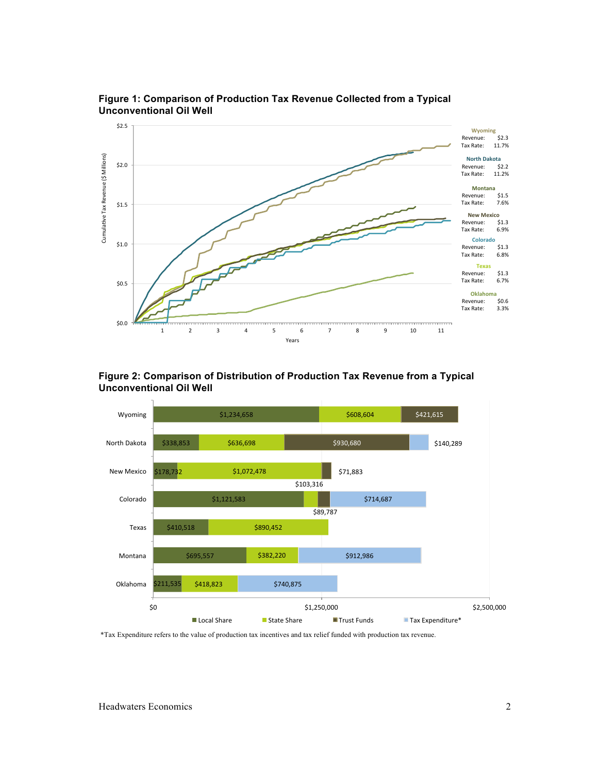

**Figure 1: Comparison of Production Tax Revenue Collected from a Typical Unconventional Oil Well**

#### **Figure 2: Comparison of Distribution of Production Tax Revenue from a Typical Unconventional Oil Well**



\*Tax Expenditure refers to the value of production tax incentives and tax relief funded with production tax revenue.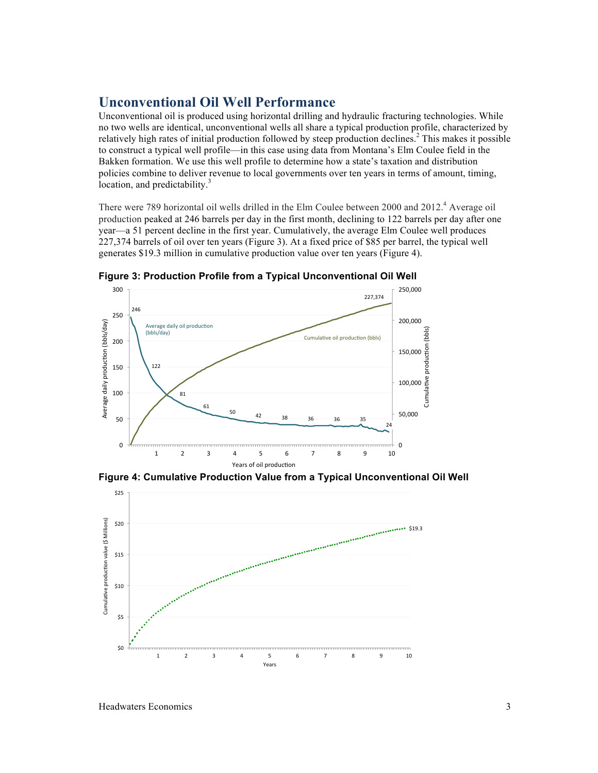### **Unconventional Oil Well Performance**

Unconventional oil is produced using horizontal drilling and hydraulic fracturing technologies. While no two wells are identical, unconventional wells all share a typical production profile, characterized by relatively high rates of initial production followed by steep production declines.<sup>2</sup> This makes it possible to construct a typical well profile—in this case using data from Montana's Elm Coulee field in the Bakken formation. We use this well profile to determine how a state's taxation and distribution policies combine to deliver revenue to local governments over ten years in terms of amount, timing, location, and predictability.<sup>3</sup>

There were 789 horizontal oil wells drilled in the Elm Coulee between 2000 and 2012.<sup>4</sup> Average oil production peaked at 246 barrels per day in the first month, declining to 122 barrels per day after one year—a 51 percent decline in the first year. Cumulatively, the average Elm Coulee well produces 227,374 barrels of oil over ten years (Figure 3). At a fixed price of \$85 per barrel, the typical well generates \$19.3 million in cumulative production value over ten years (Figure 4).



**Figure 3: Production Profile from a Typical Unconventional Oil Well**

**Figure 4: Cumulative Production Value from a Typical Unconventional Oil Well**



Headwaters Economics 3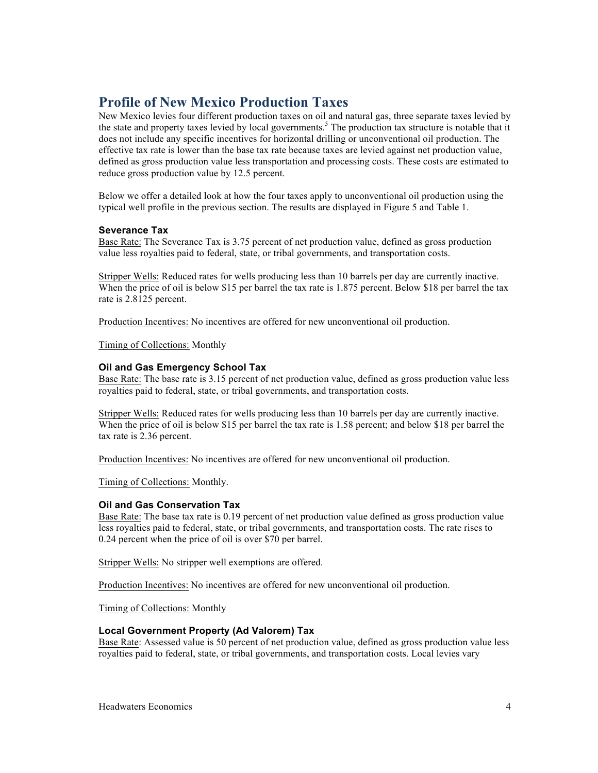## **Profile of New Mexico Production Taxes**

New Mexico levies four different production taxes on oil and natural gas, three separate taxes levied by the state and property taxes levied by local governments. <sup>5</sup> The production tax structure is notable that it does not include any specific incentives for horizontal drilling or unconventional oil production. The effective tax rate is lower than the base tax rate because taxes are levied against net production value, defined as gross production value less transportation and processing costs. These costs are estimated to reduce gross production value by 12.5 percent.

Below we offer a detailed look at how the four taxes apply to unconventional oil production using the typical well profile in the previous section. The results are displayed in Figure 5 and Table 1.

#### **Severance Tax**

Base Rate: The Severance Tax is 3.75 percent of net production value, defined as gross production value less royalties paid to federal, state, or tribal governments, and transportation costs.

Stripper Wells: Reduced rates for wells producing less than 10 barrels per day are currently inactive. When the price of oil is below \$15 per barrel the tax rate is 1.875 percent. Below \$18 per barrel the tax rate is 2.8125 percent.

Production Incentives: No incentives are offered for new unconventional oil production.

Timing of Collections: Monthly

#### **Oil and Gas Emergency School Tax**

Base Rate: The base rate is 3.15 percent of net production value, defined as gross production value less royalties paid to federal, state, or tribal governments, and transportation costs.

Stripper Wells: Reduced rates for wells producing less than 10 barrels per day are currently inactive. When the price of oil is below \$15 per barrel the tax rate is 1.58 percent; and below \$18 per barrel the tax rate is 2.36 percent.

Production Incentives: No incentives are offered for new unconventional oil production.

Timing of Collections: Monthly.

#### **Oil and Gas Conservation Tax**

Base Rate: The base tax rate is 0.19 percent of net production value defined as gross production value less royalties paid to federal, state, or tribal governments, and transportation costs. The rate rises to 0.24 percent when the price of oil is over \$70 per barrel.

Stripper Wells: No stripper well exemptions are offered.

Production Incentives: No incentives are offered for new unconventional oil production.

Timing of Collections: Monthly

#### **Local Government Property (Ad Valorem) Tax**

Base Rate: Assessed value is 50 percent of net production value, defined as gross production value less royalties paid to federal, state, or tribal governments, and transportation costs. Local levies vary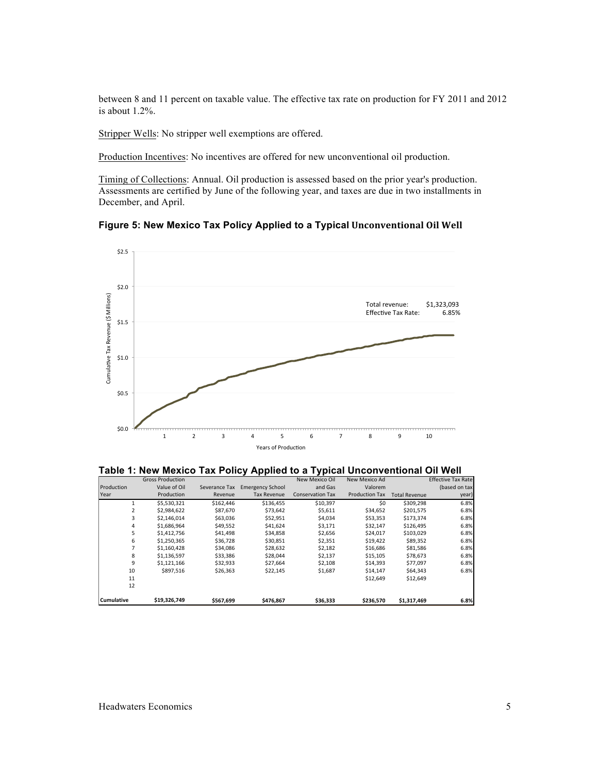between 8 and 11 percent on taxable value. The effective tax rate on production for FY 2011 and 2012 is about 1.2%.

Stripper Wells: No stripper well exemptions are offered.

Production Incentives: No incentives are offered for new unconventional oil production.

Timing of Collections: Annual. Oil production is assessed based on the prior year's production. Assessments are certified by June of the following year, and taxes are due in two installments in December, and April.

**Figure 5: New Mexico Tax Policy Applied to a Typical Unconventional Oil Well** 



**Table 1: New Mexico Tax Policy Applied to a Typical Unconventional Oil Well**

|                   | <b>Gross Production</b> |               |                         | New Mexico Oil          | New Mexico Ad         |                      | <b>Effective Tax Rate</b> |
|-------------------|-------------------------|---------------|-------------------------|-------------------------|-----------------------|----------------------|---------------------------|
| Production        | Value of Oil            | Severance Tax | <b>Emergency School</b> | and Gas                 | Valorem               |                      | (based on tax             |
| Year              | Production              | Revenue       | <b>Tax Revenue</b>      | <b>Conservation Tax</b> | <b>Production Tax</b> | <b>Total Revenue</b> | year)                     |
|                   | \$5.530.321             | \$162,446     | \$136.455               | \$10,397                | \$0                   | \$309.298            | 6.8%                      |
| 2                 | \$2,984.622             | \$87.670      | \$73.642                | \$5,611                 | \$34,652              | \$201.575            | 6.8%                      |
| 3                 | \$2,146,014             | \$63,036      | \$52,951                | \$4,034                 | \$53,353              | \$173,374            | 6.8%                      |
| 4                 | \$1,686.964             | \$49,552      | \$41,624                | \$3,171                 | \$32.147              | \$126,495            | 6.8%                      |
| 5                 | \$1,412,756             | \$41,498      | \$34,858                | \$2,656                 | \$24,017              | \$103,029            | 6.8%                      |
| 6                 | \$1,250,365             | \$36,728      | \$30,851                | \$2,351                 | \$19,422              | \$89,352             | 6.8%                      |
|                   | \$1,160,428             | \$34,086      | \$28,632                | \$2,182                 | \$16,686              | \$81,586             | 6.8%                      |
| 8                 | \$1,136,597             | \$33,386      | \$28,044                | \$2,137                 | \$15,105              | \$78,673             | 6.8%                      |
| 9                 | \$1,121,166             | \$32,933      | \$27,664                | \$2,108                 | \$14,393              | \$77,097             | 6.8%                      |
| 10                | \$897.516               | \$26,363      | \$22,145                | \$1,687                 | \$14,147              | \$64,343             | 6.8%                      |
| 11                |                         |               |                         |                         | \$12,649              | \$12,649             |                           |
| 12                |                         |               |                         |                         |                       |                      |                           |
| <b>Cumulative</b> | \$19,326,749            | \$567,699     | \$476,867               | \$36,333                | \$236,570             | \$1,317,469          | 6.8%                      |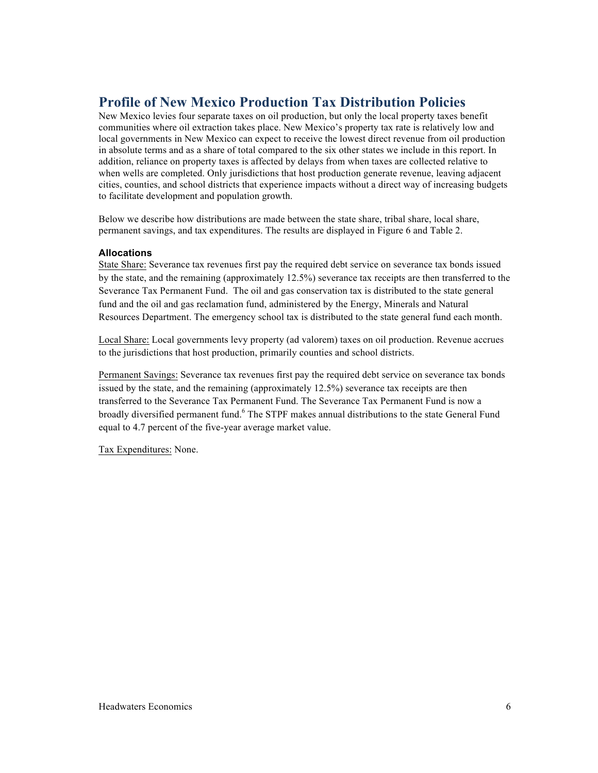## **Profile of New Mexico Production Tax Distribution Policies**

New Mexico levies four separate taxes on oil production, but only the local property taxes benefit communities where oil extraction takes place. New Mexico's property tax rate is relatively low and local governments in New Mexico can expect to receive the lowest direct revenue from oil production in absolute terms and as a share of total compared to the six other states we include in this report. In addition, reliance on property taxes is affected by delays from when taxes are collected relative to when wells are completed. Only jurisdictions that host production generate revenue, leaving adjacent cities, counties, and school districts that experience impacts without a direct way of increasing budgets to facilitate development and population growth.

Below we describe how distributions are made between the state share, tribal share, local share, permanent savings, and tax expenditures. The results are displayed in Figure 6 and Table 2.

#### **Allocations**

State Share: Severance tax revenues first pay the required debt service on severance tax bonds issued by the state, and the remaining (approximately 12.5%) severance tax receipts are then transferred to the Severance Tax Permanent Fund. The oil and gas conservation tax is distributed to the state general fund and the oil and gas reclamation fund, administered by the Energy, Minerals and Natural Resources Department. The emergency school tax is distributed to the state general fund each month.

Local Share: Local governments levy property (ad valorem) taxes on oil production. Revenue accrues to the jurisdictions that host production, primarily counties and school districts.

Permanent Savings: Severance tax revenues first pay the required debt service on severance tax bonds issued by the state, and the remaining (approximately 12.5%) severance tax receipts are then transferred to the Severance Tax Permanent Fund. The Severance Tax Permanent Fund is now a broadly diversified permanent fund.<sup>6</sup> The STPF makes annual distributions to the state General Fund equal to 4.7 percent of the five-year average market value.

Tax Expenditures: None.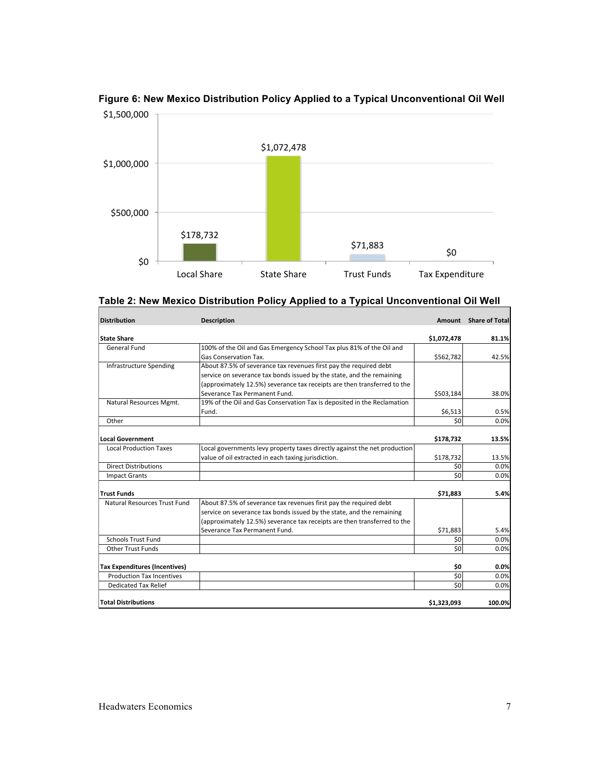

### **Figure 6: New Mexico Distribution Policy Applied to a Typical Unconventional Oil Well**

| <b>Distribution</b>                  | <b>Description</b>                                                        |                 | Amount Share of Total |
|--------------------------------------|---------------------------------------------------------------------------|-----------------|-----------------------|
| <b>State Share</b>                   |                                                                           |                 | 81.1%                 |
| <b>General Fund</b>                  | 100% of the Oil and Gas Emergency School Tax plus 81% of the Oil and      | \$1,072,478     |                       |
|                                      | Gas Conservation Tax.                                                     | \$562,782       | 42.5%                 |
| <b>Infrastructure Spending</b>       |                                                                           |                 |                       |
|                                      | About 87.5% of severance tax revenues first pay the required debt         |                 |                       |
|                                      | service on severance tax bonds issued by the state, and the remaining     |                 |                       |
|                                      | (approximately 12.5%) severance tax receipts are then transferred to the  |                 |                       |
|                                      | Severance Tax Permanent Fund.                                             | \$503,184       | 38.0%                 |
| Natural Resources Mgmt.              | 19% of the Oil and Gas Conservation Tax is deposited in the Reclamation   |                 |                       |
|                                      | Fund.                                                                     | \$6,513         | 0.5%                  |
| Other                                |                                                                           | 50              | 0.0%                  |
|                                      |                                                                           |                 |                       |
| <b>Local Government</b>              |                                                                           | \$178,732       | 13.5%                 |
| <b>Local Production Taxes</b>        | Local governments levy property taxes directly against the net production |                 |                       |
|                                      | value of oil extracted in each taxing jurisdiction.                       | \$178,732       | 13.5%                 |
| <b>Direct Distributions</b>          |                                                                           | 50              | 0.0%                  |
| <b>Impact Grants</b>                 |                                                                           | 50              | 0.0%                  |
|                                      |                                                                           |                 |                       |
| <b>Trust Funds</b>                   |                                                                           | \$71,883        | 5.4%                  |
| Natural Resources Trust Fund         | About 87.5% of severance tax revenues first pay the required debt         |                 |                       |
|                                      | service on severance tax bonds issued by the state, and the remaining     |                 |                       |
|                                      | (approximately 12.5%) severance tax receipts are then transferred to the  |                 |                       |
|                                      | Severance Tax Permanent Fund.                                             | \$71,883        | 5.4%                  |
| <b>Schools Trust Fund</b>            |                                                                           | \$0             | 0.0%                  |
| <b>Other Trust Funds</b>             |                                                                           | $\overline{50}$ | 0.0%                  |
|                                      |                                                                           |                 |                       |
| <b>Tax Expenditures (Incentives)</b> |                                                                           | \$0             | 0.0%                  |
| <b>Production Tax Incentives</b>     |                                                                           | \$0             | 0.0%                  |
| <b>Dedicated Tax Relief</b>          |                                                                           | 50              | 0.0%                  |
|                                      |                                                                           |                 |                       |
| <b>Total Distributions</b>           |                                                                           | \$1,323,093     | 100.0%                |